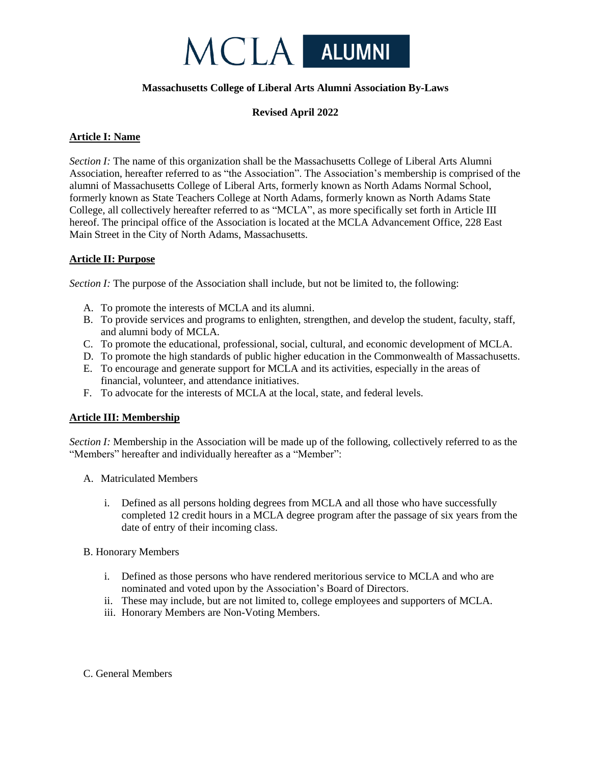

# **Massachusetts College of Liberal Arts Alumni Association By-Laws**

# **Revised April 2022**

# **Article I: Name**

*Section I:* The name of this organization shall be the Massachusetts College of Liberal Arts Alumni Association, hereafter referred to as "the Association". The Association's membership is comprised of the alumni of Massachusetts College of Liberal Arts, formerly known as North Adams Normal School, formerly known as State Teachers College at North Adams, formerly known as North Adams State College, all collectively hereafter referred to as "MCLA", as more specifically set forth in Article III hereof. The principal office of the Association is located at the MCLA Advancement Office, 228 East Main Street in the City of North Adams, Massachusetts.

# **Article II: Purpose**

*Section I:* The purpose of the Association shall include, but not be limited to, the following:

- A. To promote the interests of MCLA and its alumni.
- B. To provide services and programs to enlighten, strengthen, and develop the student, faculty, staff, and alumni body of MCLA.
- C. To promote the educational, professional, social, cultural, and economic development of MCLA.
- D. To promote the high standards of public higher education in the Commonwealth of Massachusetts.
- E. To encourage and generate support for MCLA and its activities, especially in the areas of financial, volunteer, and attendance initiatives.
- F. To advocate for the interests of MCLA at the local, state, and federal levels.

# **Article III: Membership**

*Section I:* Membership in the Association will be made up of the following, collectively referred to as the "Members" hereafter and individually hereafter as a "Member":

- A. Matriculated Members
	- i. Defined as all persons holding degrees from MCLA and all those who have successfully completed 12 credit hours in a MCLA degree program after the passage of six years from the date of entry of their incoming class.

### B. Honorary Members

- i. Defined as those persons who have rendered meritorious service to MCLA and who are nominated and voted upon by the Association's Board of Directors.
- ii. These may include, but are not limited to, college employees and supporters of MCLA.
- iii. Honorary Members are Non-Voting Members.

# C. General Members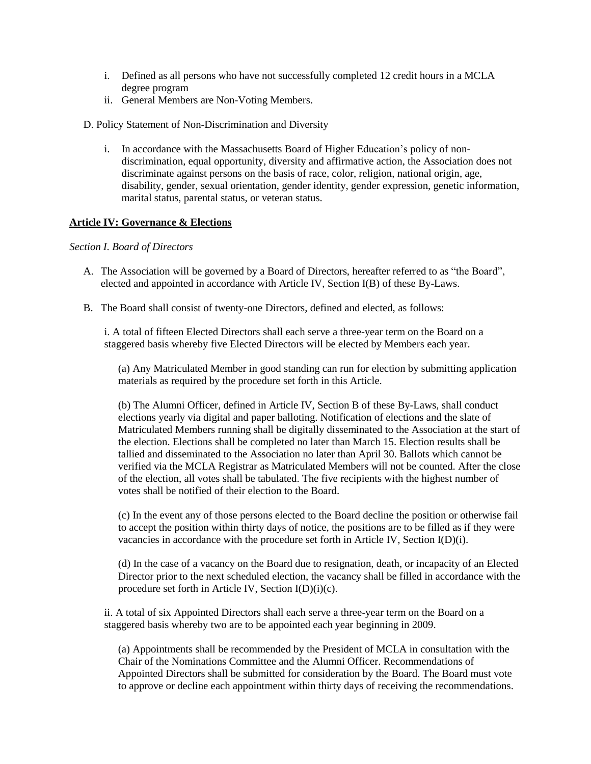- i. Defined as all persons who have not successfully completed 12 credit hours in a MCLA degree program
- ii. General Members are Non-Voting Members.

D. Policy Statement of Non-Discrimination and Diversity

i. In accordance with the Massachusetts Board of Higher Education's policy of nondiscrimination, equal opportunity, diversity and affirmative action, the Association does not discriminate against persons on the basis of race, color, religion, national origin, age, disability, gender, sexual orientation, gender identity, gender expression, genetic information, marital status, parental status, or veteran status.

## **Article IV: Governance & Elections**

### *Section I. Board of Directors*

- A. The Association will be governed by a Board of Directors, hereafter referred to as "the Board", elected and appointed in accordance with Article IV, Section I(B) of these By-Laws.
- B. The Board shall consist of twenty-one Directors, defined and elected, as follows:

i. A total of fifteen Elected Directors shall each serve a three-year term on the Board on a staggered basis whereby five Elected Directors will be elected by Members each year.

(a) Any Matriculated Member in good standing can run for election by submitting application materials as required by the procedure set forth in this Article.

(b) The Alumni Officer, defined in Article IV, Section B of these By-Laws, shall conduct elections yearly via digital and paper balloting. Notification of elections and the slate of Matriculated Members running shall be digitally disseminated to the Association at the start of the election. Elections shall be completed no later than March 15. Election results shall be tallied and disseminated to the Association no later than April 30. Ballots which cannot be verified via the MCLA Registrar as Matriculated Members will not be counted. After the close of the election, all votes shall be tabulated. The five recipients with the highest number of votes shall be notified of their election to the Board.

(c) In the event any of those persons elected to the Board decline the position or otherwise fail to accept the position within thirty days of notice, the positions are to be filled as if they were vacancies in accordance with the procedure set forth in Article IV, Section I(D)(i).

(d) In the case of a vacancy on the Board due to resignation, death, or incapacity of an Elected Director prior to the next scheduled election, the vacancy shall be filled in accordance with the procedure set forth in Article IV, Section I(D)(i)(c).

ii. A total of six Appointed Directors shall each serve a three-year term on the Board on a staggered basis whereby two are to be appointed each year beginning in 2009.

(a) Appointments shall be recommended by the President of MCLA in consultation with the Chair of the Nominations Committee and the Alumni Officer. Recommendations of Appointed Directors shall be submitted for consideration by the Board. The Board must vote to approve or decline each appointment within thirty days of receiving the recommendations.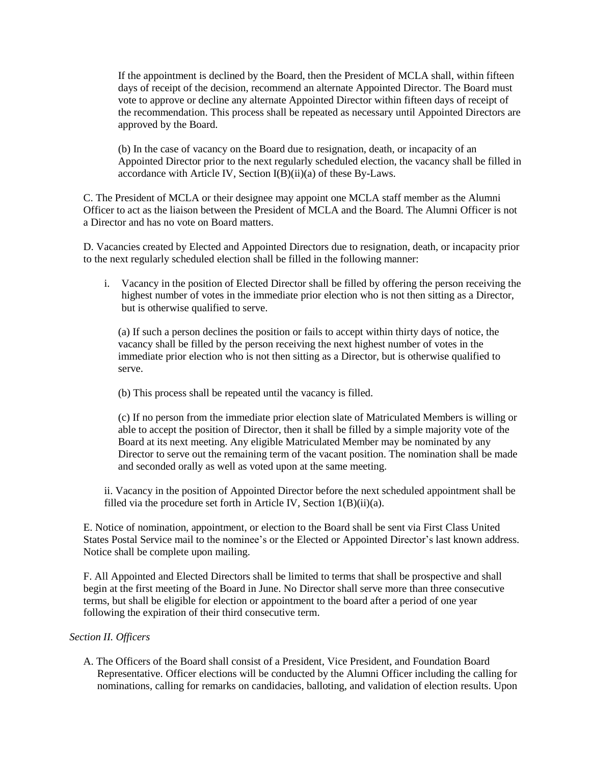If the appointment is declined by the Board, then the President of MCLA shall, within fifteen days of receipt of the decision, recommend an alternate Appointed Director. The Board must vote to approve or decline any alternate Appointed Director within fifteen days of receipt of the recommendation. This process shall be repeated as necessary until Appointed Directors are approved by the Board.

(b) In the case of vacancy on the Board due to resignation, death, or incapacity of an Appointed Director prior to the next regularly scheduled election, the vacancy shall be filled in accordance with Article IV, Section I(B)(ii)(a) of these By-Laws.

C. The President of MCLA or their designee may appoint one MCLA staff member as the Alumni Officer to act as the liaison between the President of MCLA and the Board. The Alumni Officer is not a Director and has no vote on Board matters.

D. Vacancies created by Elected and Appointed Directors due to resignation, death, or incapacity prior to the next regularly scheduled election shall be filled in the following manner:

i. Vacancy in the position of Elected Director shall be filled by offering the person receiving the highest number of votes in the immediate prior election who is not then sitting as a Director, but is otherwise qualified to serve.

(a) If such a person declines the position or fails to accept within thirty days of notice, the vacancy shall be filled by the person receiving the next highest number of votes in the immediate prior election who is not then sitting as a Director, but is otherwise qualified to serve.

(b) This process shall be repeated until the vacancy is filled.

(c) If no person from the immediate prior election slate of Matriculated Members is willing or able to accept the position of Director, then it shall be filled by a simple majority vote of the Board at its next meeting. Any eligible Matriculated Member may be nominated by any Director to serve out the remaining term of the vacant position. The nomination shall be made and seconded orally as well as voted upon at the same meeting.

ii. Vacancy in the position of Appointed Director before the next scheduled appointment shall be filled via the procedure set forth in Article IV, Section 1(B)(ii)(a).

E. Notice of nomination, appointment, or election to the Board shall be sent via First Class United States Postal Service mail to the nominee's or the Elected or Appointed Director's last known address. Notice shall be complete upon mailing.

F. All Appointed and Elected Directors shall be limited to terms that shall be prospective and shall begin at the first meeting of the Board in June. No Director shall serve more than three consecutive terms, but shall be eligible for election or appointment to the board after a period of one year following the expiration of their third consecutive term.

## *Section II. Officers*

A. The Officers of the Board shall consist of a President, Vice President, and Foundation Board Representative. Officer elections will be conducted by the Alumni Officer including the calling for nominations, calling for remarks on candidacies, balloting, and validation of election results. Upon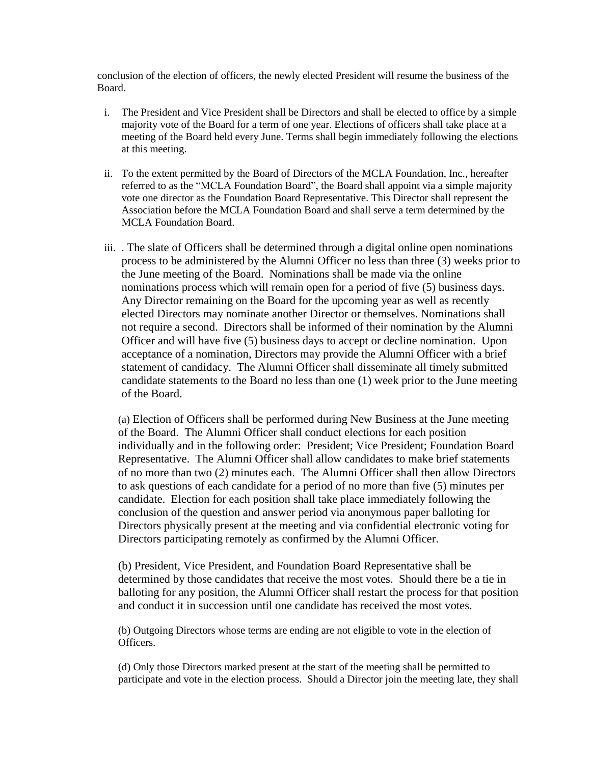conclusion of the election of officers, the newly elected President will resume the business of the Board.

- i. The President and Vice President shall be Directors and shall be elected to office by a simple majority vote of the Board for a term of one year. Elections of officers shall take place at a meeting of the Board held every June. Terms shall begin immediately following the elections at this meeting.
- ii. To the extent permitted by the Board of Directors of the MCLA Foundation, Inc., hereafter referred to as the "MCLA Foundation Board", the Board shall appoint via a simple majority vote one director as the Foundation Board Representative. This Director shall represent the Association before the MCLA Foundation Board and shall serve a term determined by the MCLA Foundation Board.
- iii. . The slate of Officers shall be determined through a digital online open nominations process to be administered by the Alumni Officer no less than three (3) weeks prior to the June meeting of the Board. Nominations shall be made via the online nominations process which will remain open for a period of five (5) business days. Any Director remaining on the Board for the upcoming year as well as recently elected Directors may nominate another Director or themselves. Nominations shall not require a second. Directors shall be informed of their nomination by the Alumni Officer and will have five (5) business days to accept or decline nomination. Upon acceptance of a nomination, Directors may provide the Alumni Officer with a brief statement of candidacy. The Alumni Officer shall disseminate all timely submitted candidate statements to the Board no less than one (1) week prior to the June meeting of the Board.

(a) Election of Officers shall be performed during New Business at the June meeting of the Board. The Alumni Officer shall conduct elections for each position individually and in the following order: President; Vice President; Foundation Board Representative. The Alumni Officer shall allow candidates to make brief statements of no more than two (2) minutes each. The Alumni Officer shall then allow Directors to ask questions of each candidate for a period of no more than five (5) minutes per candidate. Election for each position shall take place immediately following the conclusion of the question and answer period via anonymous paper balloting for Directors physically present at the meeting and via confidential electronic voting for Directors participating remotely as confirmed by the Alumni Officer.

(b) President, Vice President, and Foundation Board Representative shall be determined by those candidates that receive the most votes. Should there be a tie in balloting for any position, the Alumni Officer shall restart the process for that position and conduct it in succession until one candidate has received the most votes.

(b) Outgoing Directors whose terms are ending are not eligible to vote in the election of Officers.

(d) Only those Directors marked present at the start of the meeting shall be permitted to participate and vote in the election process. Should a Director join the meeting late, they shall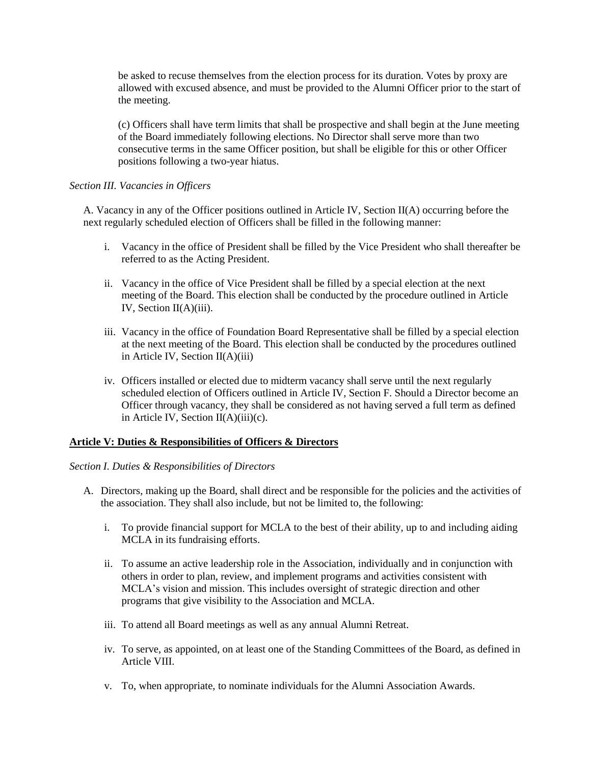be asked to recuse themselves from the election process for its duration. Votes by proxy are allowed with excused absence, and must be provided to the Alumni Officer prior to the start of the meeting.

(c) Officers shall have term limits that shall be prospective and shall begin at the June meeting of the Board immediately following elections. No Director shall serve more than two consecutive terms in the same Officer position, but shall be eligible for this or other Officer positions following a two-year hiatus.

## *Section III. Vacancies in Officers*

A. Vacancy in any of the Officer positions outlined in Article IV, Section II(A) occurring before the next regularly scheduled election of Officers shall be filled in the following manner:

- i. Vacancy in the office of President shall be filled by the Vice President who shall thereafter be referred to as the Acting President.
- ii. Vacancy in the office of Vice President shall be filled by a special election at the next meeting of the Board. This election shall be conducted by the procedure outlined in Article IV, Section II(A)(iii).
- iii. Vacancy in the office of Foundation Board Representative shall be filled by a special election at the next meeting of the Board. This election shall be conducted by the procedures outlined in Article IV, Section II(A)(iii)
- iv. Officers installed or elected due to midterm vacancy shall serve until the next regularly scheduled election of Officers outlined in Article IV, Section F. Should a Director become an Officer through vacancy, they shall be considered as not having served a full term as defined in Article IV, Section  $II(A)(iii)(c)$ .

# **Article V: Duties & Responsibilities of Officers & Directors**

### *Section I. Duties & Responsibilities of Directors*

- A. Directors, making up the Board, shall direct and be responsible for the policies and the activities of the association. They shall also include, but not be limited to, the following:
	- i. To provide financial support for MCLA to the best of their ability, up to and including aiding MCLA in its fundraising efforts.
	- ii. To assume an active leadership role in the Association, individually and in conjunction with others in order to plan, review, and implement programs and activities consistent with MCLA's vision and mission. This includes oversight of strategic direction and other programs that give visibility to the Association and MCLA.
	- iii. To attend all Board meetings as well as any annual Alumni Retreat.
	- iv. To serve, as appointed, on at least one of the Standing Committees of the Board, as defined in Article VIII.
	- v. To, when appropriate, to nominate individuals for the Alumni Association Awards.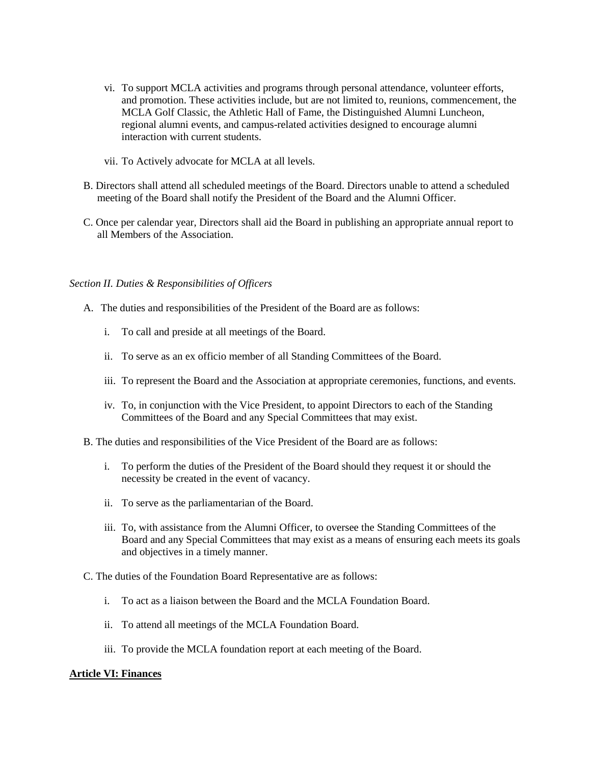- vi. To support MCLA activities and programs through personal attendance, volunteer efforts, and promotion. These activities include, but are not limited to, reunions, commencement, the MCLA Golf Classic, the Athletic Hall of Fame, the Distinguished Alumni Luncheon, regional alumni events, and campus-related activities designed to encourage alumni interaction with current students.
- vii. To Actively advocate for MCLA at all levels.
- B. Directors shall attend all scheduled meetings of the Board. Directors unable to attend a scheduled meeting of the Board shall notify the President of the Board and the Alumni Officer.
- C. Once per calendar year, Directors shall aid the Board in publishing an appropriate annual report to all Members of the Association.

## *Section II. Duties & Responsibilities of Officers*

- A. The duties and responsibilities of the President of the Board are as follows:
	- i. To call and preside at all meetings of the Board.
	- ii. To serve as an ex officio member of all Standing Committees of the Board.
	- iii. To represent the Board and the Association at appropriate ceremonies, functions, and events.
	- iv. To, in conjunction with the Vice President, to appoint Directors to each of the Standing Committees of the Board and any Special Committees that may exist.
- B. The duties and responsibilities of the Vice President of the Board are as follows:
	- i. To perform the duties of the President of the Board should they request it or should the necessity be created in the event of vacancy.
	- ii. To serve as the parliamentarian of the Board.
	- iii. To, with assistance from the Alumni Officer, to oversee the Standing Committees of the Board and any Special Committees that may exist as a means of ensuring each meets its goals and objectives in a timely manner.
- C. The duties of the Foundation Board Representative are as follows:
	- i. To act as a liaison between the Board and the MCLA Foundation Board.
	- ii. To attend all meetings of the MCLA Foundation Board.
	- iii. To provide the MCLA foundation report at each meeting of the Board.

# **Article VI: Finances**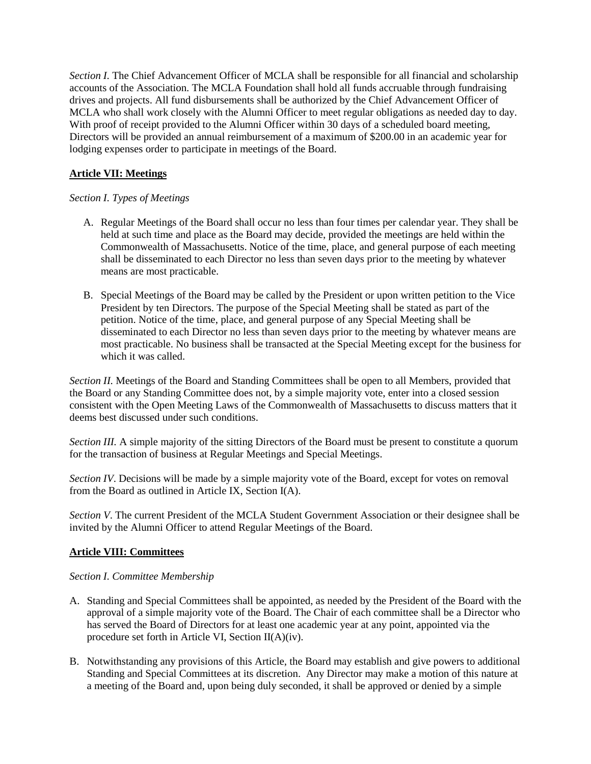*Section I.* The Chief Advancement Officer of MCLA shall be responsible for all financial and scholarship accounts of the Association. The MCLA Foundation shall hold all funds accruable through fundraising drives and projects. All fund disbursements shall be authorized by the Chief Advancement Officer of MCLA who shall work closely with the Alumni Officer to meet regular obligations as needed day to day. With proof of receipt provided to the Alumni Officer within 30 days of a scheduled board meeting, Directors will be provided an annual reimbursement of a maximum of \$200.00 in an academic year for lodging expenses order to participate in meetings of the Board.

# **Article VII: Meetings**

# *Section I. Types of Meetings*

- A. Regular Meetings of the Board shall occur no less than four times per calendar year. They shall be held at such time and place as the Board may decide, provided the meetings are held within the Commonwealth of Massachusetts. Notice of the time, place, and general purpose of each meeting shall be disseminated to each Director no less than seven days prior to the meeting by whatever means are most practicable.
- B. Special Meetings of the Board may be called by the President or upon written petition to the Vice President by ten Directors. The purpose of the Special Meeting shall be stated as part of the petition. Notice of the time, place, and general purpose of any Special Meeting shall be disseminated to each Director no less than seven days prior to the meeting by whatever means are most practicable. No business shall be transacted at the Special Meeting except for the business for which it was called.

*Section II.* Meetings of the Board and Standing Committees shall be open to all Members, provided that the Board or any Standing Committee does not, by a simple majority vote, enter into a closed session consistent with the Open Meeting Laws of the Commonwealth of Massachusetts to discuss matters that it deems best discussed under such conditions.

*Section III.* A simple majority of the sitting Directors of the Board must be present to constitute a quorum for the transaction of business at Regular Meetings and Special Meetings.

*Section IV*. Decisions will be made by a simple majority vote of the Board, except for votes on removal from the Board as outlined in Article IX, Section I(A).

*Section V*. The current President of the MCLA Student Government Association or their designee shall be invited by the Alumni Officer to attend Regular Meetings of the Board.

# **Article VIII: Committees**

# *Section I. Committee Membership*

- A. Standing and Special Committees shall be appointed, as needed by the President of the Board with the approval of a simple majority vote of the Board. The Chair of each committee shall be a Director who has served the Board of Directors for at least one academic year at any point, appointed via the procedure set forth in Article VI, Section II(A)(iv).
- B. Notwithstanding any provisions of this Article, the Board may establish and give powers to additional Standing and Special Committees at its discretion. Any Director may make a motion of this nature at a meeting of the Board and, upon being duly seconded, it shall be approved or denied by a simple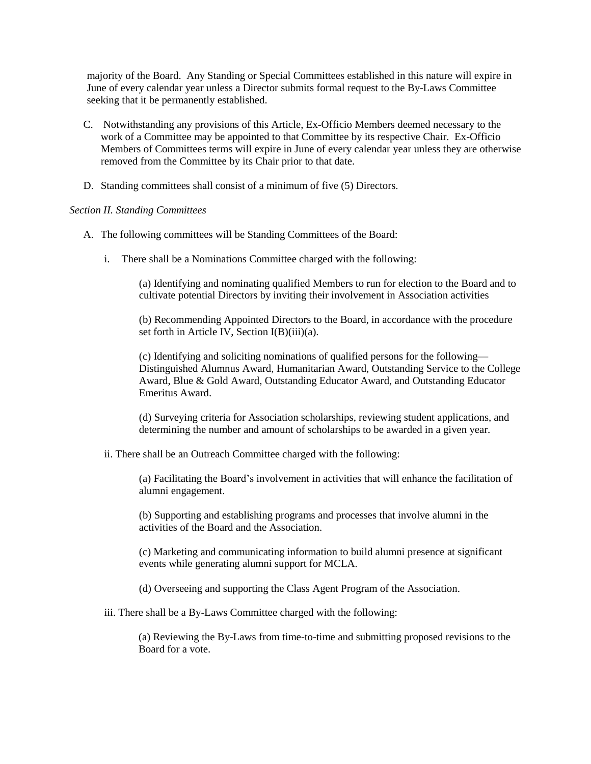majority of the Board. Any Standing or Special Committees established in this nature will expire in June of every calendar year unless a Director submits formal request to the By-Laws Committee seeking that it be permanently established.

- C. Notwithstanding any provisions of this Article, Ex-Officio Members deemed necessary to the work of a Committee may be appointed to that Committee by its respective Chair. Ex-Officio Members of Committees terms will expire in June of every calendar year unless they are otherwise removed from the Committee by its Chair prior to that date.
- D. Standing committees shall consist of a minimum of five (5) Directors.

## *Section II. Standing Committees*

- A. The following committees will be Standing Committees of the Board:
	- i. There shall be a Nominations Committee charged with the following:

(a) Identifying and nominating qualified Members to run for election to the Board and to cultivate potential Directors by inviting their involvement in Association activities

(b) Recommending Appointed Directors to the Board, in accordance with the procedure set forth in Article IV, Section I(B)(iii)(a).

(c) Identifying and soliciting nominations of qualified persons for the following— Distinguished Alumnus Award, Humanitarian Award, Outstanding Service to the College Award, Blue & Gold Award, Outstanding Educator Award, and Outstanding Educator Emeritus Award.

(d) Surveying criteria for Association scholarships, reviewing student applications, and determining the number and amount of scholarships to be awarded in a given year.

ii. There shall be an Outreach Committee charged with the following:

(a) Facilitating the Board's involvement in activities that will enhance the facilitation of alumni engagement.

(b) Supporting and establishing programs and processes that involve alumni in the activities of the Board and the Association.

(c) Marketing and communicating information to build alumni presence at significant events while generating alumni support for MCLA.

(d) Overseeing and supporting the Class Agent Program of the Association.

iii. There shall be a By-Laws Committee charged with the following:

(a) Reviewing the By-Laws from time-to-time and submitting proposed revisions to the Board for a vote.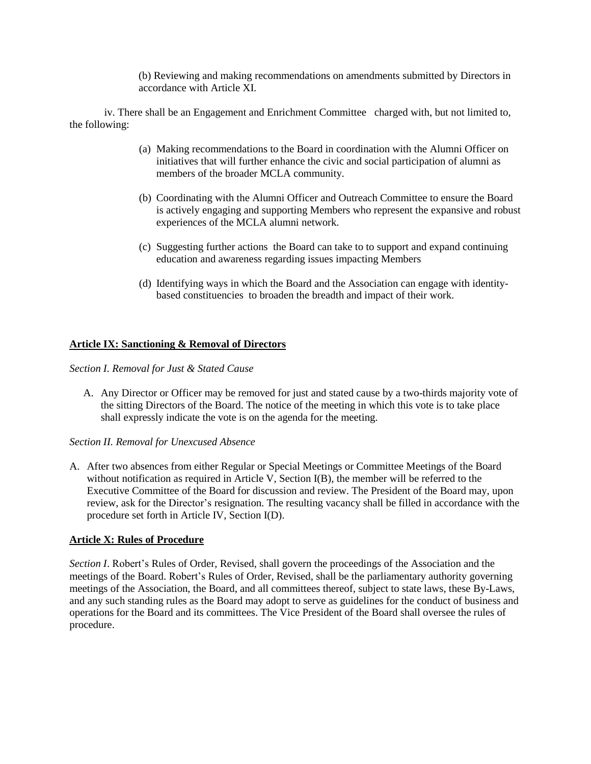(b) Reviewing and making recommendations on amendments submitted by Directors in accordance with Article XI.

iv. There shall be an Engagement and Enrichment Committee charged with, but not limited to, the following:

- (a) Making recommendations to the Board in coordination with the Alumni Officer on initiatives that will further enhance the civic and social participation of alumni as members of the broader MCLA community.
- (b) Coordinating with the Alumni Officer and Outreach Committee to ensure the Board is actively engaging and supporting Members who represent the expansive and robust experiences of the MCLA alumni network.
- (c) Suggesting further actions the Board can take to to support and expand continuing education and awareness regarding issues impacting Members
- (d) Identifying ways in which the Board and the Association can engage with identitybased constituencies to broaden the breadth and impact of their work.

# **Article IX: Sanctioning & Removal of Directors**

*Section I. Removal for Just & Stated Cause*

A. Any Director or Officer may be removed for just and stated cause by a two-thirds majority vote of the sitting Directors of the Board. The notice of the meeting in which this vote is to take place shall expressly indicate the vote is on the agenda for the meeting.

### *Section II. Removal for Unexcused Absence*

A. After two absences from either Regular or Special Meetings or Committee Meetings of the Board without notification as required in Article V, Section  $I(B)$ , the member will be referred to the Executive Committee of the Board for discussion and review. The President of the Board may, upon review, ask for the Director's resignation. The resulting vacancy shall be filled in accordance with the procedure set forth in Article IV, Section I(D).

### **Article X: Rules of Procedure**

*Section I*. Robert's Rules of Order, Revised, shall govern the proceedings of the Association and the meetings of the Board. Robert's Rules of Order, Revised, shall be the parliamentary authority governing meetings of the Association, the Board, and all committees thereof, subject to state laws, these By-Laws, and any such standing rules as the Board may adopt to serve as guidelines for the conduct of business and operations for the Board and its committees. The Vice President of the Board shall oversee the rules of procedure.